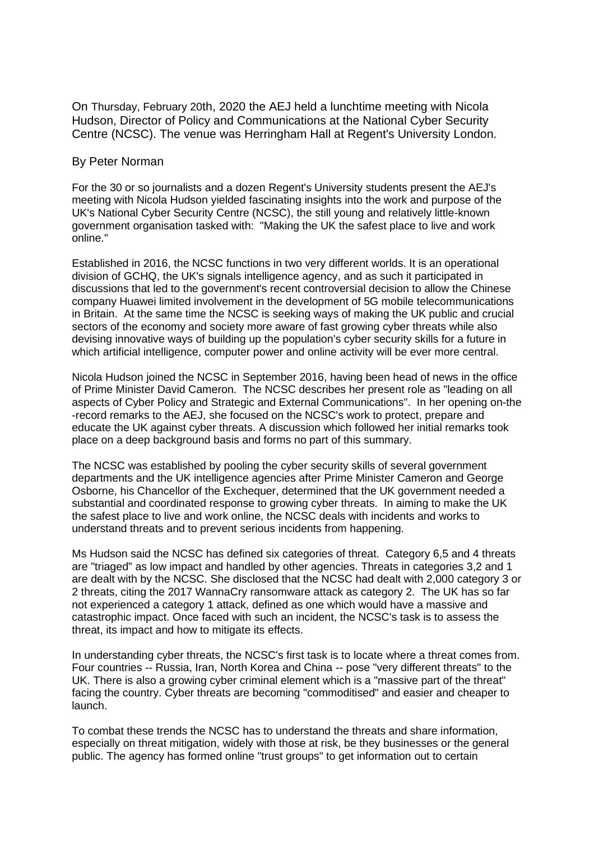On Thursday, February 20th, 2020 the AEJ held a lunchtime meeting with Nicola Hudson, Director of Policy and Communications at the National Cyber Security Centre (NCSC). The venue was Herringham Hall at Regent's University London.

## By Peter Norman

For the 30 or so journalists and a dozen Regent's University students present the AEJ's meeting with Nicola Hudson yielded fascinating insights into the work and purpose of the UK's National Cyber Security Centre (NCSC), the still young and relatively little-known government organisation tasked with: "Making the UK the safest place to live and work online."

Established in 2016, the NCSC functions in two very different worlds. It is an operational division of GCHQ, the UK's signals intelligence agency, and as such it participated in discussions that led to the government's recent controversial decision to allow the Chinese company Huawei limited involvement in the development of 5G mobile telecommunications in Britain. At the same time the NCSC is seeking ways of making the UK public and crucial sectors of the economy and society more aware of fast growing cyber threats while also devising innovative ways of building up the population's cyber security skills for a future in which artificial intelligence, computer power and online activity will be ever more central.

Nicola Hudson joined the NCSC in September 2016, having been head of news in the office of Prime Minister David Cameron. The NCSC describes her present role as "leading on all aspects of Cyber Policy and Strategic and External Communications". In her opening on-the -record remarks to the AEJ, she focused on the NCSC's work to protect, prepare and educate the UK against cyber threats. A discussion which followed her initial remarks took place on a deep background basis and forms no part of this summary.

The NCSC was established by pooling the cyber security skills of several government departments and the UK intelligence agencies after Prime Minister Cameron and George Osborne, his Chancellor of the Exchequer, determined that the UK government needed a substantial and coordinated response to growing cyber threats. In aiming to make the UK the safest place to live and work online, the NCSC deals with incidents and works to understand threats and to prevent serious incidents from happening.

Ms Hudson said the NCSC has defined six categories of threat. Category 6,5 and 4 threats are "triaged" as low impact and handled by other agencies. Threats in categories 3,2 and 1 are dealt with by the NCSC. She disclosed that the NCSC had dealt with 2,000 category 3 or 2 threats, citing the 2017 WannaCry ransomware attack as category 2. The UK has so far not experienced a category 1 attack, defined as one which would have a massive and catastrophic impact. Once faced with such an incident, the NCSC's task is to assess the threat, its impact and how to mitigate its effects.

In understanding cyber threats, the NCSC's first task is to locate where a threat comes from. Four countries -- Russia, Iran, North Korea and China -- pose "very different threats" to the UK. There is also a growing cyber criminal element which is a "massive part of the threat" facing the country. Cyber threats are becoming "commoditised" and easier and cheaper to launch.

To combat these trends the NCSC has to understand the threats and share information, especially on threat mitigation, widely with those at risk, be they businesses or the general public. The agency has formed online "trust groups" to get information out to certain